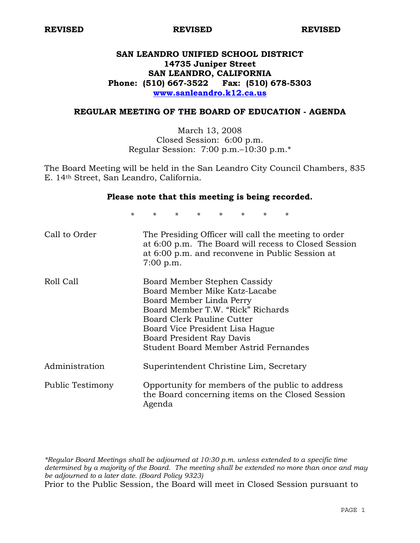# **SAN LEANDRO UNIFIED SCHOOL DISTRICT 14735 Juniper Street SAN LEANDRO, CALIFORNIA Phone: (510) 667-3522 Fax: (510) 678-5303 www.sanleandro.k12.ca.us**

### **REGULAR MEETING OF THE BOARD OF EDUCATION - AGENDA**

March 13, 2008 Closed Session: 6:00 p.m. Regular Session: 7:00 p.m.–10:30 p.m.\*

The Board Meeting will be held in the San Leandro City Council Chambers, 835 E. 14th Street, San Leandro, California.

#### **Please note that this meeting is being recorded.**

\* \* \* \* \* \* \* \*

| Call to Order    | The Presiding Officer will call the meeting to order<br>at 6:00 p.m. The Board will recess to Closed Session<br>at 6:00 p.m. and reconvene in Public Session at<br>$7:00$ p.m.                                                                                        |
|------------------|-----------------------------------------------------------------------------------------------------------------------------------------------------------------------------------------------------------------------------------------------------------------------|
| Roll Call        | Board Member Stephen Cassidy<br>Board Member Mike Katz-Lacabe<br>Board Member Linda Perry<br>Board Member T.W. "Rick" Richards<br>Board Clerk Pauline Cutter<br>Board Vice President Lisa Hague<br>Board President Ray Davis<br>Student Board Member Astrid Fernandes |
| Administration   | Superintendent Christine Lim, Secretary                                                                                                                                                                                                                               |
| Public Testimony | Opportunity for members of the public to address<br>the Board concerning items on the Closed Session<br>Agenda                                                                                                                                                        |

*\*Regular Board Meetings shall be adjourned at 10:30 p.m. unless extended to a specific time determined by a majority of the Board. The meeting shall be extended no more than once and may be adjourned to a later date. (Board Policy 9323)*  Prior to the Public Session, the Board will meet in Closed Session pursuant to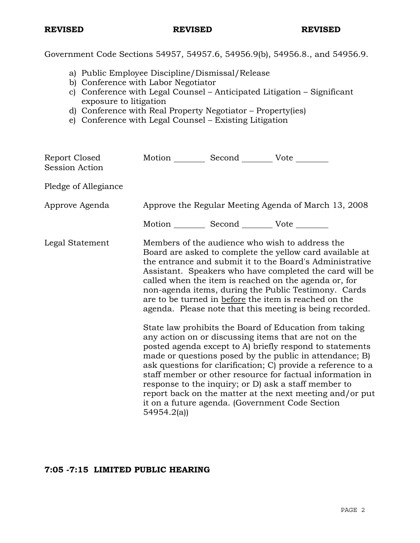Government Code Sections 54957, 54957.6, 54956.9(b), 54956.8., and 54956.9.

- a) Public Employee Discipline/Dismissal/Release
- b) Conference with Labor Negotiator
- c) Conference with Legal Counsel Anticipated Litigation Significant exposure to litigation
- d) Conference with Real Property Negotiator Property(ies)
- e) Conference with Legal Counsel Existing Litigation

| Report Closed<br><b>Session Action</b> | Motion __________ Second __________ Vote ________             |                                                                                                                                                                                                                                                                                                                                                                                                                                                                                                                                                                                                                                                                                                                                                                                                                                                                                                                                                                     |
|----------------------------------------|---------------------------------------------------------------|---------------------------------------------------------------------------------------------------------------------------------------------------------------------------------------------------------------------------------------------------------------------------------------------------------------------------------------------------------------------------------------------------------------------------------------------------------------------------------------------------------------------------------------------------------------------------------------------------------------------------------------------------------------------------------------------------------------------------------------------------------------------------------------------------------------------------------------------------------------------------------------------------------------------------------------------------------------------|
| Pledge of Allegiance                   |                                                               |                                                                                                                                                                                                                                                                                                                                                                                                                                                                                                                                                                                                                                                                                                                                                                                                                                                                                                                                                                     |
| Approve Agenda                         |                                                               | Approve the Regular Meeting Agenda of March 13, 2008                                                                                                                                                                                                                                                                                                                                                                                                                                                                                                                                                                                                                                                                                                                                                                                                                                                                                                                |
|                                        | Motion ___________ Second ____________ Vote _________         |                                                                                                                                                                                                                                                                                                                                                                                                                                                                                                                                                                                                                                                                                                                                                                                                                                                                                                                                                                     |
| Legal Statement                        | it on a future agenda. (Government Code Section<br>54954.2(a) | Members of the audience who wish to address the<br>Board are asked to complete the yellow card available at<br>the entrance and submit it to the Board's Administrative<br>Assistant. Speakers who have completed the card will be<br>called when the item is reached on the agenda or, for<br>non-agenda items, during the Public Testimony. Cards<br>are to be turned in before the item is reached on the<br>agenda. Please note that this meeting is being recorded.<br>State law prohibits the Board of Education from taking<br>any action on or discussing items that are not on the<br>posted agenda except to A) briefly respond to statements<br>made or questions posed by the public in attendance; B)<br>ask questions for clarification; C) provide a reference to a<br>staff member or other resource for factual information in<br>response to the inquiry; or D) ask a staff member to<br>report back on the matter at the next meeting and/or put |

# **7:05 -7:15 LIMITED PUBLIC HEARING**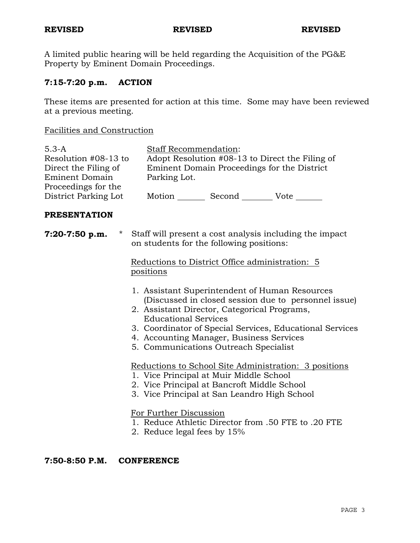A limited public hearing will be held regarding the Acquisition of the PG&E Property by Eminent Domain Proceedings.

# **7:15-7:20 p.m. ACTION**

These items are presented for action at this time. Some may have been reviewed at a previous meeting.

# Facilities and Construction

| $5.3 - A$<br>Resolution #08-13 to<br>Direct the Filing of<br><b>Eminent Domain</b> |           | Parking Lot.                                          | Staff Recommendation:                                                                                                                                                                                                                                                   | Adopt Resolution #08-13 to Direct the Filing of<br>Eminent Domain Proceedings for the District                                                                                                                                                                                                                                                                                                                                                     |  |
|------------------------------------------------------------------------------------|-----------|-------------------------------------------------------|-------------------------------------------------------------------------------------------------------------------------------------------------------------------------------------------------------------------------------------------------------------------------|----------------------------------------------------------------------------------------------------------------------------------------------------------------------------------------------------------------------------------------------------------------------------------------------------------------------------------------------------------------------------------------------------------------------------------------------------|--|
| Proceedings for the<br>District Parking Lot                                        |           |                                                       |                                                                                                                                                                                                                                                                         | Motion _________ Second ___________ Vote ________                                                                                                                                                                                                                                                                                                                                                                                                  |  |
| <b>PRESENTATION</b>                                                                |           |                                                       |                                                                                                                                                                                                                                                                         |                                                                                                                                                                                                                                                                                                                                                                                                                                                    |  |
| 7:20-7:50 p.m.                                                                     | positions | <b>Educational Services</b><br>For Further Discussion | on students for the following positions:<br>2. Assistant Director, Categorical Programs,<br>4. Accounting Manager, Business Services<br>5. Communications Outreach Specialist<br>1. Vice Principal at Muir Middle School<br>2. Vice Principal at Bancroft Middle School | * Staff will present a cost analysis including the impact<br>Reductions to District Office administration: 5<br>1. Assistant Superintendent of Human Resources<br>(Discussed in closed session due to personnel issue)<br>3. Coordinator of Special Services, Educational Services<br>Reductions to School Site Administration: 3 positions<br>3. Vice Principal at San Leandro High School<br>1. Reduce Athletic Director from .50 FTE to .20 FTE |  |
|                                                                                    |           |                                                       | 2. Reduce legal fees by 15%                                                                                                                                                                                                                                             |                                                                                                                                                                                                                                                                                                                                                                                                                                                    |  |

## **7:50-8:50 P.M. CONFERENCE**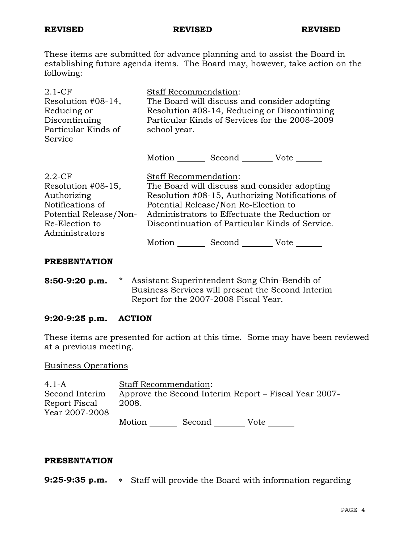These items are submitted for advance planning and to assist the Board in establishing future agenda items. The Board may, however, take action on the following:

| $2.1 - CF$<br>Resolution #08-14,<br>Reducing or<br>Discontinuing<br>Particular Kinds of<br>Service                               | <b>Staff Recommendation:</b><br>school year. | The Board will discuss and consider adopting<br>Resolution #08-14, Reducing or Discontinuing<br>Particular Kinds of Services for the 2008-2009                                           |                                                 |
|----------------------------------------------------------------------------------------------------------------------------------|----------------------------------------------|------------------------------------------------------------------------------------------------------------------------------------------------------------------------------------------|-------------------------------------------------|
|                                                                                                                                  |                                              | Motion Second Vote                                                                                                                                                                       |                                                 |
| $2.2$ -CF<br>Resolution #08-15,<br>Authorizing<br>Notifications of<br>Potential Release/Non-<br>Re-Election to<br>Administrators | <b>Staff Recommendation:</b>                 | The Board will discuss and consider adopting<br>Potential Release/Non Re-Election to<br>Administrators to Effectuate the Reduction or<br>Discontinuation of Particular Kinds of Service. | Resolution #08-15, Authorizing Notifications of |
|                                                                                                                                  | Motion <u>__</u>                             | Second _________ Vote ______                                                                                                                                                             |                                                 |

#### **PRESENTATION**

**8:50-9:20 p.m.** \* Assistant Superintendent Song Chin-Bendib of Business Services will present the Second Interim Report for the 2007-2008 Fiscal Year.

### **9:20-9:25 p.m. ACTION**

These items are presented for action at this time. Some may have been reviewed at a previous meeting.

### Business Operations

| $4.1 - A$      |        | <b>Staff Recommendation:</b> |      |                                                       |
|----------------|--------|------------------------------|------|-------------------------------------------------------|
| Second Interim |        |                              |      | Approve the Second Interim Report – Fiscal Year 2007- |
| Report Fiscal  | 2008.  |                              |      |                                                       |
| Year 2007-2008 |        |                              |      |                                                       |
|                | Motion | Second                       | Vote |                                                       |

### **PRESENTATION**

**9:25-9:35 p.m.** ∗ Staff will provide the Board with information regarding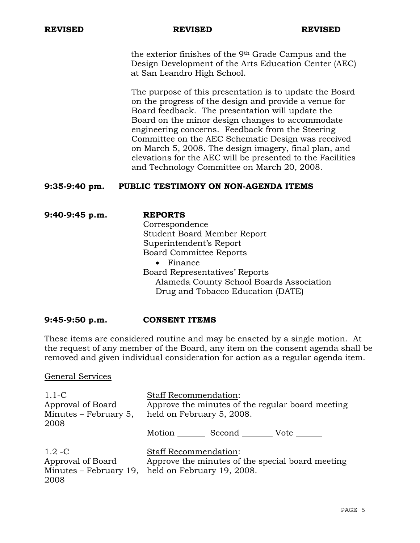the exterior finishes of the 9th Grade Campus and the Design Development of the Arts Education Center (AEC) at San Leandro High School.

The purpose of this presentation is to update the Board on the progress of the design and provide a venue for Board feedback. The presentation will update the Board on the minor design changes to accommodate engineering concerns. Feedback from the Steering Committee on the AEC Schematic Design was received on March 5, 2008. The design imagery, final plan, and elevations for the AEC will be presented to the Facilities and Technology Committee on March 20, 2008.

## **9:35-9:40 pm. PUBLIC TESTIMONY ON NON-AGENDA ITEMS**

**9:40-9:45 p.m. REPORTS** Correspondence Student Board Member Report Superintendent's Report Board Committee Reports

• Finance Board Representatives' Reports Alameda County School Boards Association Drug and Tobacco Education (DATE)

### **9:45-9:50 p.m. CONSENT ITEMS**

These items are considered routine and may be enacted by a single motion. At the request of any member of the Board, any item on the consent agenda shall be removed and given individual consideration for action as a regular agenda item.

### General Services

| $1.1-C$<br>Approval of Board<br>Minutes $-$ February 5,<br>2008  | <b>Staff Recommendation:</b><br>Approve the minutes of the regular board meeting<br>held on February 5, 2008.  |  |
|------------------------------------------------------------------|----------------------------------------------------------------------------------------------------------------|--|
|                                                                  | Second<br>Motion<br>Vote                                                                                       |  |
| $1.2 - C$<br>Approval of Board<br>Minutes – February 19,<br>2008 | <b>Staff Recommendation:</b><br>Approve the minutes of the special board meeting<br>held on February 19, 2008. |  |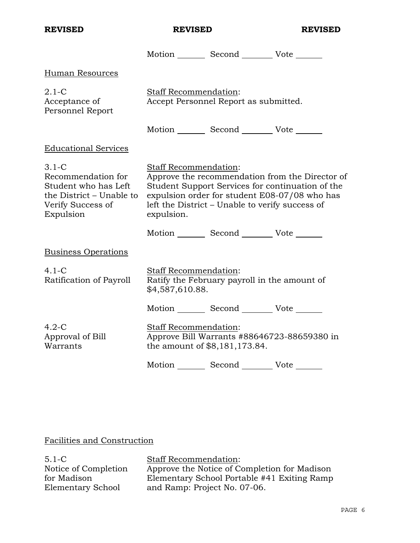| <b>REVISED</b>                                                                                                      | <b>REVISED</b>                             |                                                 | <b>REVISED</b>                                                                                                                                       |
|---------------------------------------------------------------------------------------------------------------------|--------------------------------------------|-------------------------------------------------|------------------------------------------------------------------------------------------------------------------------------------------------------|
|                                                                                                                     |                                            | Motion _________ Second __________ Vote _______ |                                                                                                                                                      |
| Human Resources                                                                                                     |                                            |                                                 |                                                                                                                                                      |
| $2.1-C$<br>Acceptance of<br>Personnel Report                                                                        | Staff Recommendation:                      | Accept Personnel Report as submitted.           |                                                                                                                                                      |
|                                                                                                                     |                                            | Motion _________ Second __________ Vote _______ |                                                                                                                                                      |
| <b>Educational Services</b>                                                                                         |                                            |                                                 |                                                                                                                                                      |
| $3.1-C$<br>Recommendation for<br>Student who has Left<br>the District – Unable to<br>Verify Success of<br>Expulsion | <b>Staff Recommendation:</b><br>expulsion. | left the District – Unable to verify success of | Approve the recommendation from the Director of<br>Student Support Services for continuation of the<br>expulsion order for student E08-07/08 who has |
|                                                                                                                     |                                            | Motion _________ Second __________ Vote _______ |                                                                                                                                                      |
| <b>Business Operations</b>                                                                                          |                                            |                                                 |                                                                                                                                                      |
| $4.1-C$<br>Ratification of Payroll                                                                                  | Staff Recommendation:<br>\$4,587,610.88.   | Ratify the February payroll in the amount of    |                                                                                                                                                      |
|                                                                                                                     |                                            | Motion Second Vote                              |                                                                                                                                                      |
| $4.2-C$<br>Approval of Bill<br>Warrants                                                                             | Staff Recommendation:                      | the amount of \$8,181,173.84.                   | Approve Bill Warrants #88646723-88659380 in                                                                                                          |
|                                                                                                                     |                                            | Motion Second Vote                              |                                                                                                                                                      |

## Facilities and Construction

5.1-C Notice of Completion for Madison Elementary School

Staff Recommendation: Approve the Notice of Completion for Madison Elementary School Portable #41 Exiting Ramp and Ramp: Project No. 07-06.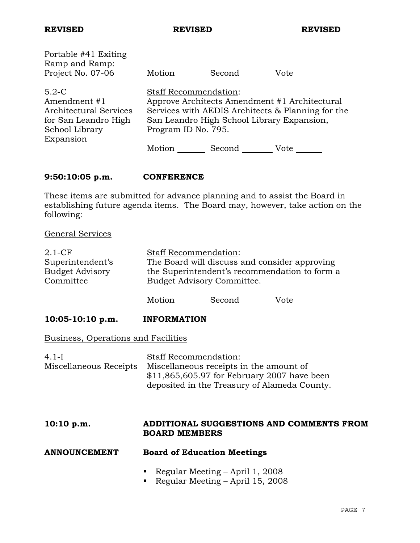| Portable #41 Exiting                                                                                     | Motion                                                                                                                                                                                                                              |
|----------------------------------------------------------------------------------------------------------|-------------------------------------------------------------------------------------------------------------------------------------------------------------------------------------------------------------------------------------|
| Ramp and Ramp:                                                                                           | Second                                                                                                                                                                                                                              |
| Project No. 07-06                                                                                        | Vote                                                                                                                                                                                                                                |
| $5.2-C$<br>Amendment #1<br>Architectural Services<br>for San Leandro High<br>School Library<br>Expansion | <b>Staff Recommendation:</b><br>Approve Architects Amendment #1 Architectural<br>Services with AEDIS Architects & Planning for the<br>San Leandro High School Library Expansion,<br>Program ID No. 795.<br>Motion<br>Second<br>Vote |

## **9:50:10:05 p.m. CONFERENCE**

These items are submitted for advance planning and to assist the Board in establishing future agenda items. The Board may, however, take action on the following:

### General Services

| $2.1 - CF$             | <b>Staff Recommendation:</b>                  |
|------------------------|-----------------------------------------------|
| Superintendent's       | The Board will discuss and consider approving |
| <b>Budget Advisory</b> | the Superintendent's recommendation to form a |
| Committee              | Budget Advisory Committee.                    |

Motion Second Vote \_\_\_\_\_\_\_

### 10:05-10:10 p.m. **INFORMATION**

Business, Operations and Facilities

| 4.1-I                  | <b>Staff Recommendation:</b>                 |
|------------------------|----------------------------------------------|
| Miscellaneous Receipts | Miscellaneous receipts in the amount of      |
|                        | $$11,865,605.97$ for February 2007 have been |
|                        | deposited in the Treasury of Alameda County. |

### **10:10 p.m. ADDITIONAL SUGGESTIONS AND COMMENTS FROM BOARD MEMBERS**

### **ANNOUNCEMENT Board of Education Meetings**

- Regular Meeting April 1, 2008
- Regular Meeting April 15, 2008